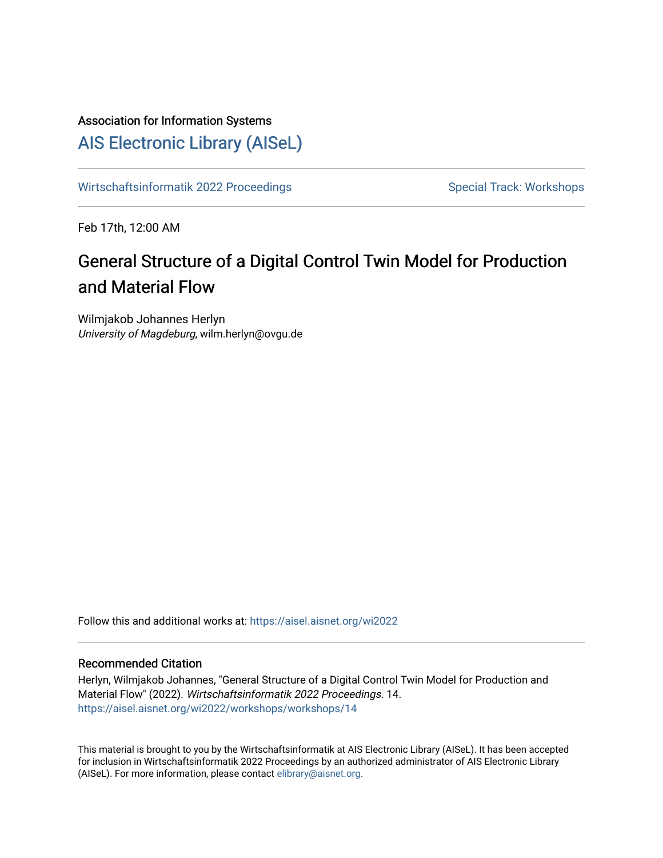# Association for Information Systems

# [AIS Electronic Library \(AISeL\)](https://aisel.aisnet.org/)

[Wirtschaftsinformatik 2022 Proceedings](https://aisel.aisnet.org/wi2022) Special Track: Workshops

Feb 17th, 12:00 AM

# General Structure of a Digital Control Twin Model for Production and Material Flow

Wilmjakob Johannes Herlyn University of Magdeburg, wilm.herlyn@ovgu.de

Follow this and additional works at: [https://aisel.aisnet.org/wi2022](https://aisel.aisnet.org/wi2022?utm_source=aisel.aisnet.org%2Fwi2022%2Fworkshops%2Fworkshops%2F14&utm_medium=PDF&utm_campaign=PDFCoverPages) 

## Recommended Citation

Herlyn, Wilmjakob Johannes, "General Structure of a Digital Control Twin Model for Production and Material Flow" (2022). Wirtschaftsinformatik 2022 Proceedings. 14. [https://aisel.aisnet.org/wi2022/workshops/workshops/14](https://aisel.aisnet.org/wi2022/workshops/workshops/14?utm_source=aisel.aisnet.org%2Fwi2022%2Fworkshops%2Fworkshops%2F14&utm_medium=PDF&utm_campaign=PDFCoverPages) 

This material is brought to you by the Wirtschaftsinformatik at AIS Electronic Library (AISeL). It has been accepted for inclusion in Wirtschaftsinformatik 2022 Proceedings by an authorized administrator of AIS Electronic Library (AISeL). For more information, please contact [elibrary@aisnet.org](mailto:elibrary@aisnet.org%3E).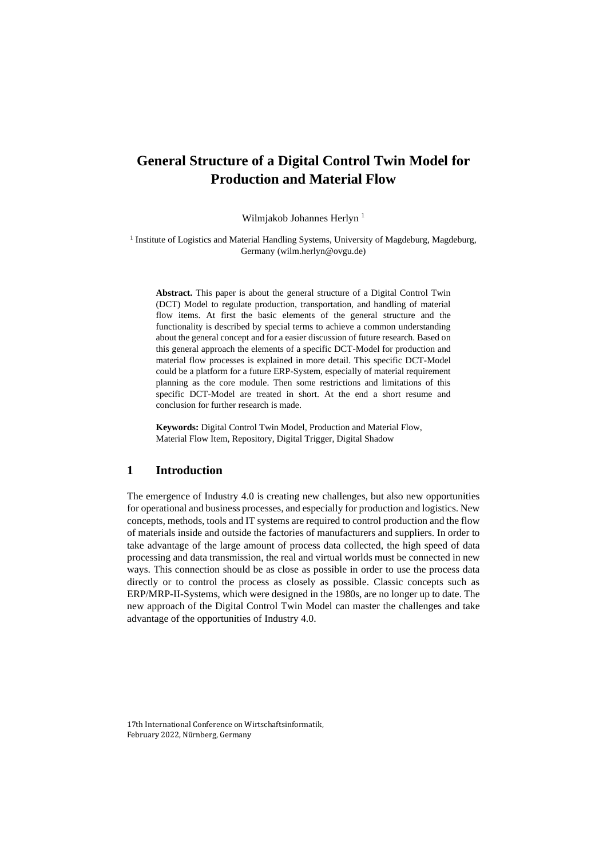## **General Structure of a Digital Control Twin Model for Production and Material Flow**

Wilmjakob Johannes Herlyn<sup>1</sup>

<sup>1</sup> Institute of Logistics and Material Handling Systems, University of Magdeburg, Magdeburg, Germany (wilm.herlyn@ovgu.de)

**Abstract.** This paper is about the general structure of a Digital Control Twin (DCT) Model to regulate production, transportation, and handling of material flow items. At first the basic elements of the general structure and the functionality is described by special terms to achieve a common understanding about the general concept and for a easier discussion of future research. Based on this general approach the elements of a specific DCT-Model for production and material flow processes is explained in more detail. This specific DCT-Model could be a platform for a future ERP-System, especially of material requirement planning as the core module. Then some restrictions and limitations of this specific DCT-Model are treated in short. At the end a short resume and conclusion for further research is made.

**Keywords:** Digital Control Twin Model, Production and Material Flow, Material Flow Item, Repository, Digital Trigger, Digital Shadow

## **1 Introduction**

The emergence of Industry 4.0 is creating new challenges, but also new opportunities for operational and business processes, and especially for production and logistics. New concepts, methods, tools and IT systems are required to control production and the flow of materials inside and outside the factories of manufacturers and suppliers. In order to take advantage of the large amount of process data collected, the high speed of data processing and data transmission, the real and virtual worlds must be connected in new ways. This connection should be as close as possible in order to use the process data directly or to control the process as closely as possible. Classic concepts such as ERP/MRP-II-Systems, which were designed in the 1980s, are no longer up to date. The new approach of the Digital Control Twin Model can master the challenges and take advantage of the opportunities of Industry 4.0.

17th International Conference on Wirtschaftsinformatik, February 2022, Nürnberg, Germany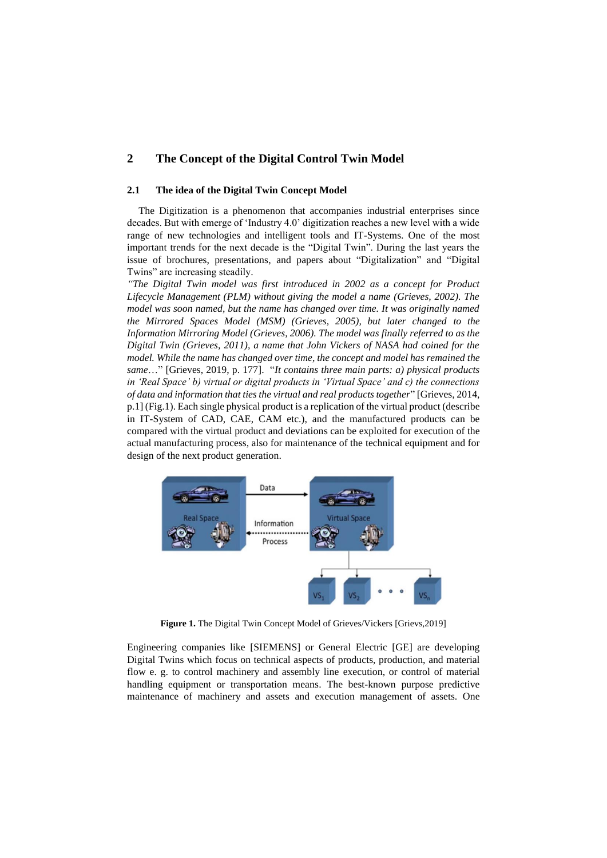## **2 The Concept of the Digital Control Twin Model**

#### **2.1 The idea of the Digital Twin Concept Model**

The Digitization is a phenomenon that accompanies industrial enterprises since decades. But with emerge of 'Industry 4.0' digitization reaches a new level with a wide range of new technologies and intelligent tools and IT-Systems. One of the most important trends for the next decade is the "Digital Twin". During the last years the issue of brochures, presentations, and papers about "Digitalization" and "Digital Twins" are increasing steadily.

*"The Digital Twin model was first introduced in 2002 as a concept for Product Lifecycle Management (PLM) without giving the model a name (Grieves, 2002). The model was soon named, but the name has changed over time. It was originally named the Mirrored Spaces Model (MSM) (Grieves, 2005), but later changed to the Information Mirroring Model (Grieves, 2006). The model was finally referred to as the Digital Twin (Grieves, 2011), a name that John Vickers of NASA had coined for the model. While the name has changed over time, the concept and model has remained the same*…" [Grieves, 2019, p. 177]. "*It contains three main parts: a) physical products in 'Real Space' b) virtual or digital products in 'Virtual Space' and c) the connections of data and information that ties the virtual and real products together*" [Grieves, 2014, p.1] (Fig.1). Each single physical product is a replication of the virtual product (describe in IT-System of CAD, CAE, CAM etc.), and the manufactured products can be compared with the virtual product and deviations can be exploited for execution of the actual manufacturing process, also for maintenance of the technical equipment and for design of the next product generation.



**Figure 1.** The Digital Twin Concept Model of Grieves/Vickers [Grievs,2019]

Engineering companies like [SIEMENS] or General Electric [GE] are developing Digital Twins which focus on technical aspects of products, production, and material flow e. g. to control machinery and assembly line execution, or control of material handling equipment or transportation means. The best-known purpose predictive maintenance of machinery and assets and execution management of assets. One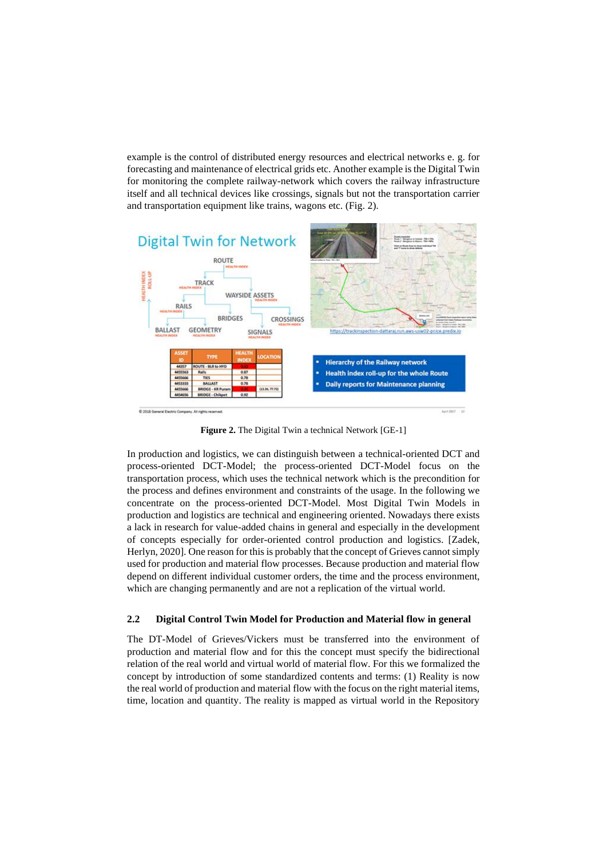example is the control of distributed energy resources and electrical networks e. g. for forecasting and maintenance of electrical grids etc. Another example is the Digital Twin for monitoring the complete railway-network which covers the railway infrastructure itself and all technical devices like crossings, signals but not the transportation carrier and transportation equipment like trains, wagons etc. (Fig. 2).



**Figure 2.** The Digital Twin a technical Network [GE-1]

In production and logistics, we can distinguish between a technical-oriented DCT and process-oriented DCT-Model; the process-oriented DCT-Model focus on the transportation process, which uses the technical network which is the precondition for the process and defines environment and constraints of the usage. In the following we concentrate on the process-oriented DCT-Model. Most Digital Twin Models in production and logistics are technical and engineering oriented. Nowadays there exists a lack in research for value-added chains in general and especially in the development of concepts especially for order-oriented control production and logistics. [Zadek, Herlyn, 2020]. One reason for this is probably that the concept of Grieves cannot simply used for production and material flow processes. Because production and material flow depend on different individual customer orders, the time and the process environment, which are changing permanently and are not a replication of the virtual world.

#### **2.2 Digital Control Twin Model for Production and Material flow in general**

The DT-Model of Grieves/Vickers must be transferred into the environment of production and material flow and for this the concept must specify the bidirectional relation of the real world and virtual world of material flow. For this we formalized the concept by introduction of some standardized contents and terms: (1) Reality is now the real world of production and material flow with the focus on the right material items, time, location and quantity. The reality is mapped as virtual world in the Repository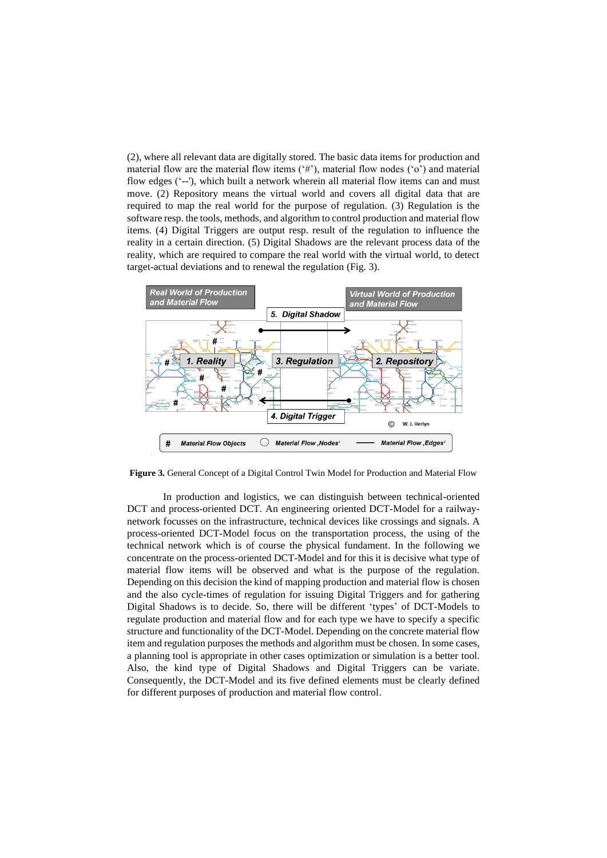(2), where all relevant data are digitally stored. The basic data items for production and material flow are the material flow items  $(4)$ , material flow nodes  $(6)$  and material flow edges ('--'), which built a network wherein all material flow items can and must move. (2) Repository means the virtual world and covers all digital data that are required to map the real world for the purpose of regulation. (3) Regulation is the software resp. the tools, methods, and algorithm to control production and material flow items. (4) Digital Triggers are output resp. result of the regulation to influence the reality in a certain direction. (5) Digital Shadows are the relevant process data of the reality, which are required to compare the real world with the virtual world, to detect target-actual deviations and to renewal the regulation (Fig. 3).



**Figure 3.** General Concept of a Digital Control Twin Model for Production and Material Flow

In production and logistics, we can distinguish between technical-oriented DCT and process-oriented DCT. An engineering oriented DCT-Model for a railwaynetwork focusses on the infrastructure, technical devices like crossings and signals. A process-oriented DCT-Model focus on the transportation process, the using of the technical network which is of course the physical fundament. In the following we concentrate on the process-oriented DCT-Model and for this it is decisive what type of material flow items will be observed and what is the purpose of the regulation. Depending on this decision the kind of mapping production and material flow is chosen and the also cycle-times of regulation for issuing Digital Triggers and for gathering Digital Shadows is to decide. So, there will be different 'types' of DCT-Models to regulate production and material flow and for each type we have to specify a specific structure and functionality of the DCT-Model. Depending on the concrete material flow item and regulation purposes the methods and algorithm must be chosen. In some cases, a planning tool is appropriate in other cases optimization or simulation is a better tool. Also, the kind type of Digital Shadows and Digital Triggers can be variate. Consequently, the DCT-Model and its five defined elements must be clearly defined for different purposes of production and material flow control.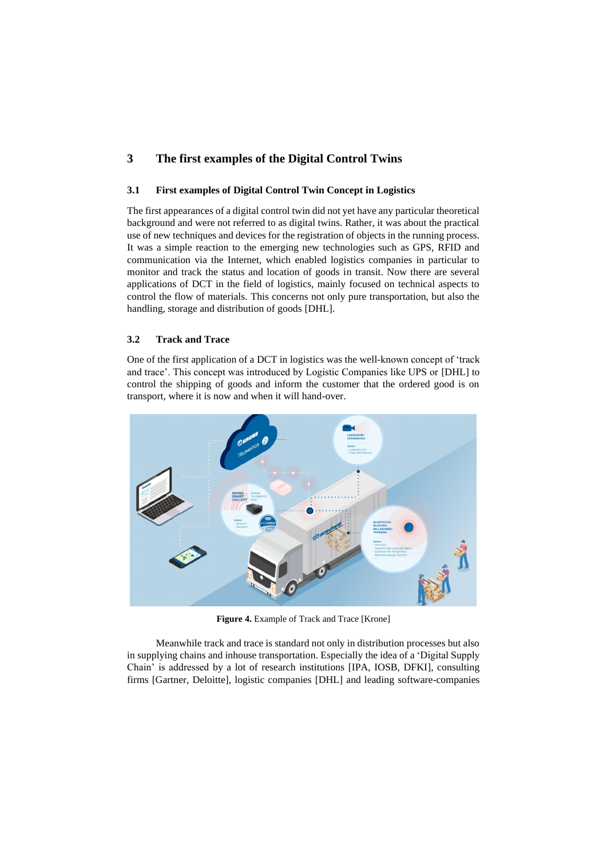## **3 The first examples of the Digital Control Twins**

### **3.1 First examples of Digital Control Twin Concept in Logistics**

The first appearances of a digital control twin did not yet have any particular theoretical background and were not referred to as digital twins. Rather, it was about the practical use of new techniques and devices for the registration of objects in the running process. It was a simple reaction to the emerging new technologies such as GPS, RFID and communication via the Internet, which enabled logistics companies in particular to monitor and track the status and location of goods in transit. Now there are several applications of DCT in the field of logistics, mainly focused on technical aspects to control the flow of materials. This concerns not only pure transportation, but also the handling, storage and distribution of goods [DHL].

### **3.2 Track and Trace**

One of the first application of a DCT in logistics was the well-known concept of 'track and trace'. This concept was introduced by Logistic Companies like UPS or [DHL] to control the shipping of goods and inform the customer that the ordered good is on transport, where it is now and when it will hand-over.



**Figure 4.** Example of Track and Trace [Krone]

Meanwhile track and trace is standard not only in distribution processes but also in supplying chains and inhouse transportation. Especially the idea of a 'Digital Supply Chain' is addressed by a lot of research institutions [IPA, IOSB, DFKI], consulting firms [Gartner, Deloitte], logistic companies [DHL] and leading software-companies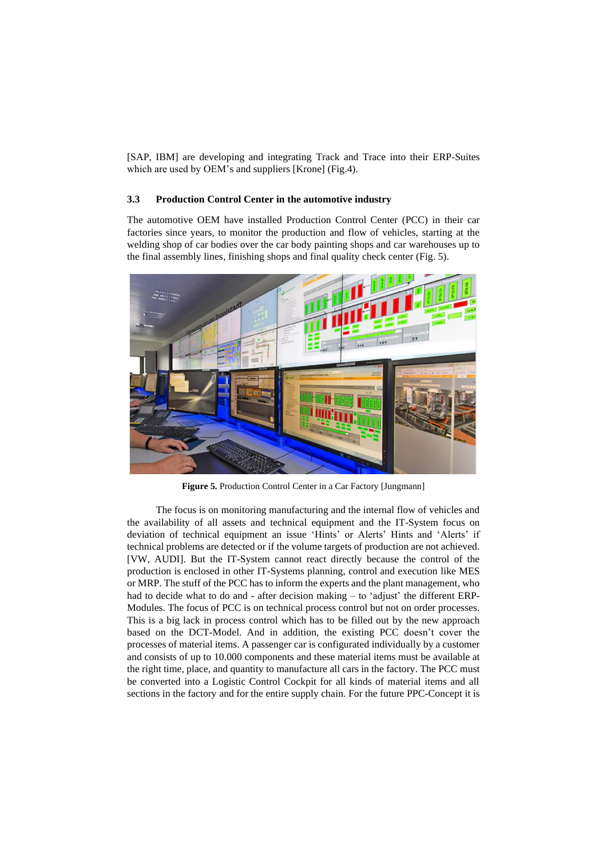[SAP, IBM] are developing and integrating Track and Trace into their ERP-Suites which are used by OEM's and suppliers [Krone] (Fig.4).

### **3.3 Production Control Center in the automotive industry**

The automotive OEM have installed Production Control Center (PCC) in their car factories since years, to monitor the production and flow of vehicles, starting at the welding shop of car bodies over the car body painting shops and car warehouses up to the final assembly lines, finishing shops and final quality check center (Fig. 5).



**Figure 5.** Production Control Center in a Car Factory [Jungmann]

The focus is on monitoring manufacturing and the internal flow of vehicles and the availability of all assets and technical equipment and the IT-System focus on deviation of technical equipment an issue 'Hints' or Alerts' Hints and 'Alerts' if technical problems are detected or if the volume targets of production are not achieved. [VW, AUDI]. But the IT-System cannot react directly because the control of the production is enclosed in other IT-Systems planning, control and execution like MES or MRP. The stuff of the PCC has to inform the experts and the plant management, who had to decide what to do and - after decision making – to 'adjust' the different ERP-Modules. The focus of PCC is on technical process control but not on order processes. This is a big lack in process control which has to be filled out by the new approach based on the DCT-Model. And in addition, the existing PCC doesn't cover the processes of material items. A passenger car is configurated individually by a customer and consists of up to 10.000 components and these material items must be available at the right time, place, and quantity to manufacture all cars in the factory. The PCC must be converted into a Logistic Control Cockpit for all kinds of material items and all sections in the factory and for the entire supply chain. For the future PPC-Concept it is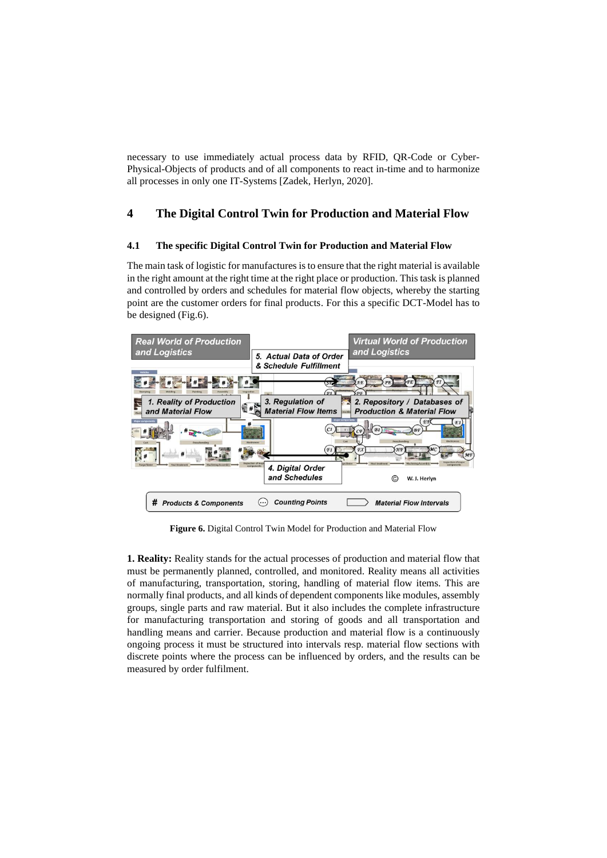necessary to use immediately actual process data by RFID, QR-Code or Cyber-Physical-Objects of products and of all components to react in-time and to harmonize all processes in only one IT-Systems [Zadek, Herlyn, 2020].

## **4 The Digital Control Twin for Production and Material Flow**

## **4.1 The specific Digital Control Twin for Production and Material Flow**

The main task of logistic for manufactures is to ensure that the right material is available in the right amount at the right time at the right place or production. This task is planned and controlled by orders and schedules for material flow objects, whereby the starting point are the customer orders for final products. For this a specific DCT-Model has to be designed (Fig.6).



**Figure 6.** Digital Control Twin Model for Production and Material Flow

**1. Reality:** Reality stands for the actual processes of production and material flow that must be permanently planned, controlled, and monitored. Reality means all activities of manufacturing, transportation, storing, handling of material flow items. This are normally final products, and all kinds of dependent components like modules, assembly groups, single parts and raw material. But it also includes the complete infrastructure for manufacturing transportation and storing of goods and all transportation and handling means and carrier. Because production and material flow is a continuously ongoing process it must be structured into intervals resp. material flow sections with discrete points where the process can be influenced by orders, and the results can be measured by order fulfilment.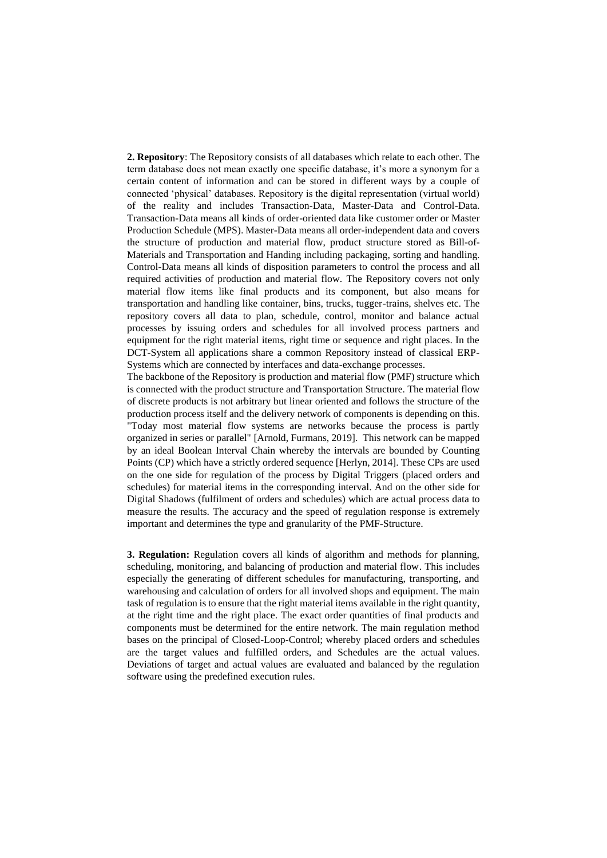**2. Repository**: The Repository consists of all databases which relate to each other. The term database does not mean exactly one specific database, it's more a synonym for a certain content of information and can be stored in different ways by a couple of connected 'physical' databases. Repository is the digital representation (virtual world) of the reality and includes Transaction-Data, Master-Data and Control-Data. Transaction-Data means all kinds of order-oriented data like customer order or Master Production Schedule (MPS). Master-Data means all order-independent data and covers the structure of production and material flow, product structure stored as Bill-of-Materials and Transportation and Handing including packaging, sorting and handling. Control-Data means all kinds of disposition parameters to control the process and all required activities of production and material flow. The Repository covers not only material flow items like final products and its component, but also means for transportation and handling like container, bins, trucks, tugger-trains, shelves etc. The repository covers all data to plan, schedule, control, monitor and balance actual processes by issuing orders and schedules for all involved process partners and equipment for the right material items, right time or sequence and right places. In the DCT-System all applications share a common Repository instead of classical ERP-Systems which are connected by interfaces and data-exchange processes.

The backbone of the Repository is production and material flow (PMF) structure which is connected with the product structure and Transportation Structure. The material flow of discrete products is not arbitrary but linear oriented and follows the structure of the production process itself and the delivery network of components is depending on this. "Today most material flow systems are networks because the process is partly organized in series or parallel" [Arnold, Furmans, 2019]. This network can be mapped by an ideal Boolean Interval Chain whereby the intervals are bounded by Counting Points (CP) which have a strictly ordered sequence [Herlyn, 2014]. These CPs are used on the one side for regulation of the process by Digital Triggers (placed orders and schedules) for material items in the corresponding interval. And on the other side for Digital Shadows (fulfilment of orders and schedules) which are actual process data to measure the results. The accuracy and the speed of regulation response is extremely important and determines the type and granularity of the PMF-Structure.

**3. Regulation:** Regulation covers all kinds of algorithm and methods for planning, scheduling, monitoring, and balancing of production and material flow. This includes especially the generating of different schedules for manufacturing, transporting, and warehousing and calculation of orders for all involved shops and equipment. The main task of regulation is to ensure that the right material items available in the right quantity, at the right time and the right place. The exact order quantities of final products and components must be determined for the entire network. The main regulation method bases on the principal of Closed-Loop-Control; whereby placed orders and schedules are the target values and fulfilled orders, and Schedules are the actual values. Deviations of target and actual values are evaluated and balanced by the regulation software using the predefined execution rules.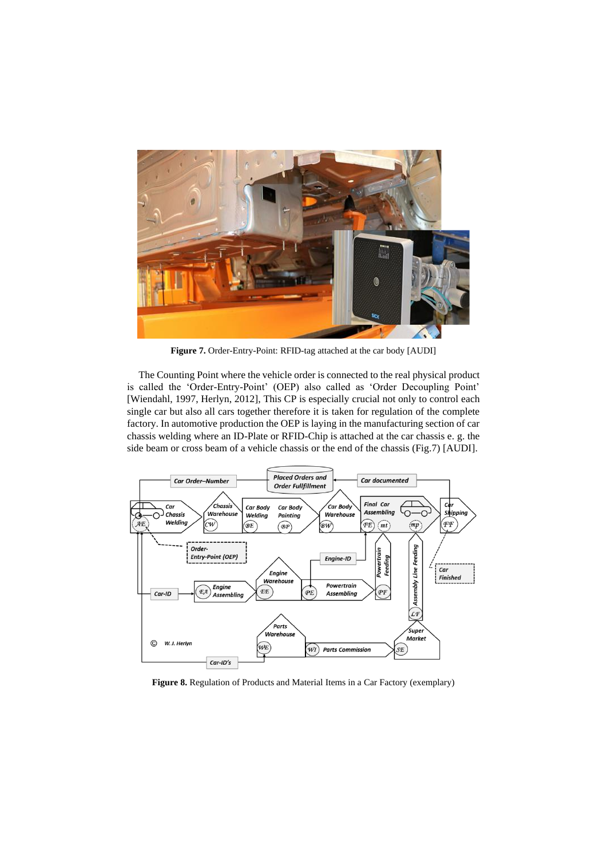

**Figure 7.** Order-Entry-Point: RFID-tag attached at the car body [AUDI]

The Counting Point where the vehicle order is connected to the real physical product is called the 'Order-Entry-Point' (OEP) also called as 'Order Decoupling Point' [Wiendahl, 1997, Herlyn, 2012], This CP is especially crucial not only to control each single car but also all cars together therefore it is taken for regulation of the complete factory. In automotive production the OEP is laying in the manufacturing section of car chassis welding where an ID-Plate or RFID-Chip is attached at the car chassis e. g. the side beam or cross beam of a vehicle chassis or the end of the chassis (Fig.7) [AUDI].



**Figure 8.** Regulation of Products and Material Items in a Car Factory (exemplary)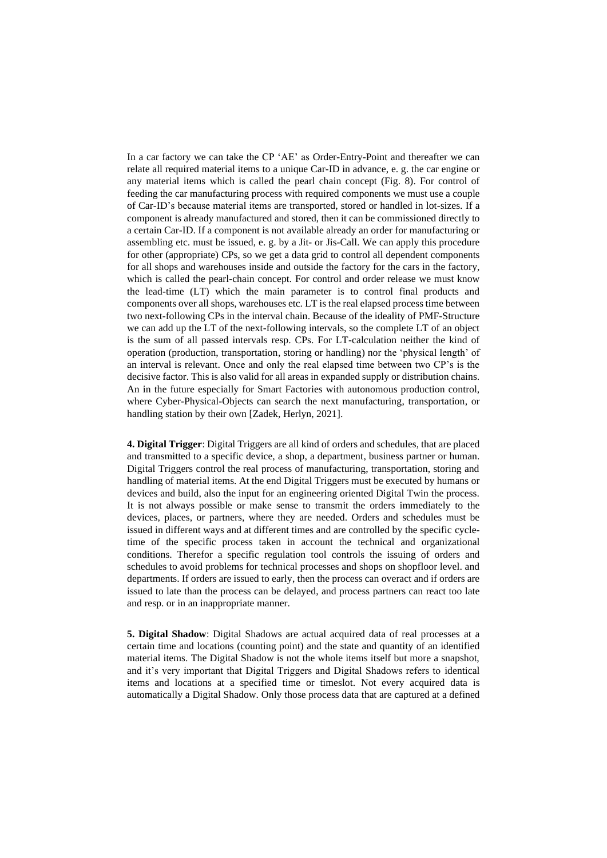In a car factory we can take the CP 'AE' as Order-Entry-Point and thereafter we can relate all required material items to a unique Car-ID in advance, e. g. the car engine or any material items which is called the pearl chain concept (Fig. 8). For control of feeding the car manufacturing process with required components we must use a couple of Car-ID's because material items are transported, stored or handled in lot-sizes. If a component is already manufactured and stored, then it can be commissioned directly to a certain Car-ID. If a component is not available already an order for manufacturing or assembling etc. must be issued, e. g. by a Jit- or Jis-Call. We can apply this procedure for other (appropriate) CPs, so we get a data grid to control all dependent components for all shops and warehouses inside and outside the factory for the cars in the factory, which is called the pearl-chain concept. For control and order release we must know the lead-time (LT) which the main parameter is to control final products and components over all shops, warehouses etc. LT is the real elapsed process time between two next-following CPs in the interval chain. Because of the ideality of PMF-Structure we can add up the LT of the next-following intervals, so the complete LT of an object is the sum of all passed intervals resp. CPs. For LT-calculation neither the kind of operation (production, transportation, storing or handling) nor the 'physical length' of an interval is relevant. Once and only the real elapsed time between two CP's is the decisive factor. This is also valid for all areas in expanded supply or distribution chains. An in the future especially for Smart Factories with autonomous production control, where Cyber-Physical-Objects can search the next manufacturing, transportation, or handling station by their own [Zadek, Herlyn, 2021].

**4. Digital Trigger**: Digital Triggers are all kind of orders and schedules, that are placed and transmitted to a specific device, a shop, a department, business partner or human. Digital Triggers control the real process of manufacturing, transportation, storing and handling of material items. At the end Digital Triggers must be executed by humans or devices and build, also the input for an engineering oriented Digital Twin the process. It is not always possible or make sense to transmit the orders immediately to the devices, places, or partners, where they are needed. Orders and schedules must be issued in different ways and at different times and are controlled by the specific cycletime of the specific process taken in account the technical and organizational conditions. Therefor a specific regulation tool controls the issuing of orders and schedules to avoid problems for technical processes and shops on shopfloor level. and departments. If orders are issued to early, then the process can overact and if orders are issued to late than the process can be delayed, and process partners can react too late and resp. or in an inappropriate manner.

**5. Digital Shadow**: Digital Shadows are actual acquired data of real processes at a certain time and locations (counting point) and the state and quantity of an identified material items. The Digital Shadow is not the whole items itself but more a snapshot, and it's very important that Digital Triggers and Digital Shadows refers to identical items and locations at a specified time or timeslot. Not every acquired data is automatically a Digital Shadow. Only those process data that are captured at a defined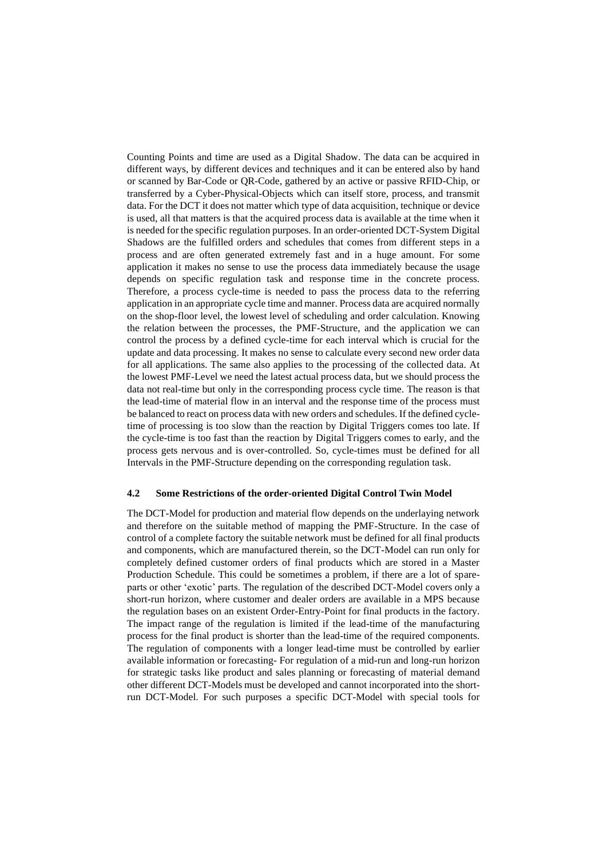Counting Points and time are used as a Digital Shadow. The data can be acquired in different ways, by different devices and techniques and it can be entered also by hand or scanned by Bar-Code or QR-Code, gathered by an active or passive RFID-Chip, or transferred by a Cyber-Physical-Objects which can itself store, process, and transmit data. For the DCT it does not matter which type of data acquisition, technique or device is used, all that matters is that the acquired process data is available at the time when it is needed for the specific regulation purposes. In an order-oriented DCT-System Digital Shadows are the fulfilled orders and schedules that comes from different steps in a process and are often generated extremely fast and in a huge amount. For some application it makes no sense to use the process data immediately because the usage depends on specific regulation task and response time in the concrete process. Therefore, a process cycle-time is needed to pass the process data to the referring application in an appropriate cycle time and manner. Process data are acquired normally on the shop-floor level, the lowest level of scheduling and order calculation. Knowing the relation between the processes, the PMF-Structure, and the application we can control the process by a defined cycle-time for each interval which is crucial for the update and data processing. It makes no sense to calculate every second new order data for all applications. The same also applies to the processing of the collected data. At the lowest PMF-Level we need the latest actual process data, but we should process the data not real-time but only in the corresponding process cycle time. The reason is that the lead-time of material flow in an interval and the response time of the process must be balanced to react on process data with new orders and schedules. If the defined cycletime of processing is too slow than the reaction by Digital Triggers comes too late. If the cycle-time is too fast than the reaction by Digital Triggers comes to early, and the process gets nervous and is over-controlled. So, cycle-times must be defined for all Intervals in the PMF-Structure depending on the corresponding regulation task.

#### **4.2 Some Restrictions of the order-oriented Digital Control Twin Model**

The DCT-Model for production and material flow depends on the underlaying network and therefore on the suitable method of mapping the PMF-Structure. In the case of control of a complete factory the suitable network must be defined for all final products and components, which are manufactured therein, so the DCT-Model can run only for completely defined customer orders of final products which are stored in a Master Production Schedule. This could be sometimes a problem, if there are a lot of spareparts or other 'exotic' parts. The regulation of the described DCT-Model covers only a short-run horizon, where customer and dealer orders are available in a MPS because the regulation bases on an existent Order-Entry-Point for final products in the factory. The impact range of the regulation is limited if the lead-time of the manufacturing process for the final product is shorter than the lead-time of the required components. The regulation of components with a longer lead-time must be controlled by earlier available information or forecasting- For regulation of a mid-run and long-run horizon for strategic tasks like product and sales planning or forecasting of material demand other different DCT-Models must be developed and cannot incorporated into the shortrun DCT-Model. For such purposes a specific DCT-Model with special tools for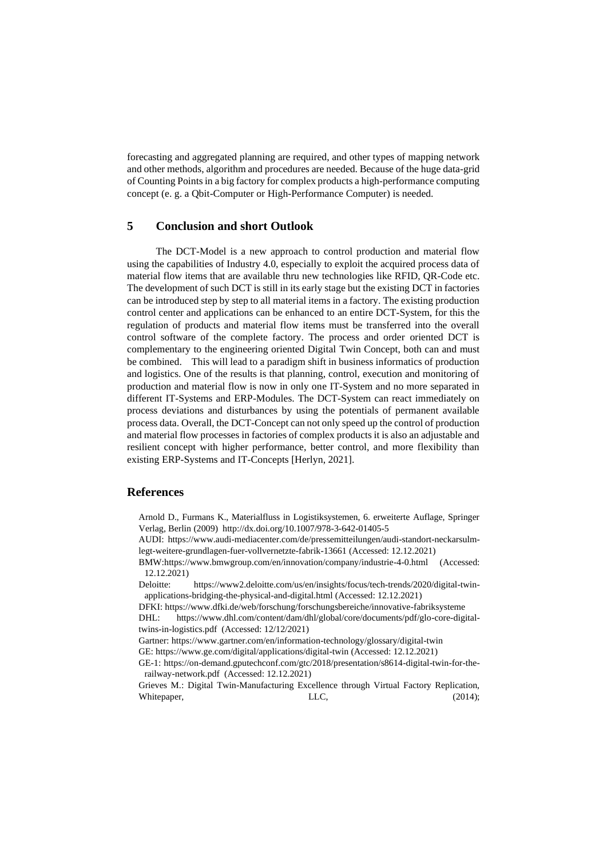forecasting and aggregated planning are required, and other types of mapping network and other methods, algorithm and procedures are needed. Because of the huge data-grid of Counting Points in a big factory for complex products a high-performance computing concept (e. g. a Qbit-Computer or High-Performance Computer) is needed.

## **5 Conclusion and short Outlook**

The DCT-Model is a new approach to control production and material flow using the capabilities of Industry 4.0, especially to exploit the acquired process data of material flow items that are available thru new technologies like RFID, QR-Code etc. The development of such DCT is still in its early stage but the existing DCT in factories can be introduced step by step to all material items in a factory. The existing production control center and applications can be enhanced to an entire DCT-System, for this the regulation of products and material flow items must be transferred into the overall control software of the complete factory. The process and order oriented DCT is complementary to the engineering oriented Digital Twin Concept, both can and must be combined. This will lead to a paradigm shift in business informatics of production and logistics. One of the results is that planning, control, execution and monitoring of production and material flow is now in only one IT-System and no more separated in different IT-Systems and ERP-Modules. The DCT-System can react immediately on process deviations and disturbances by using the potentials of permanent available process data. Overall, the DCT-Concept can not only speed up the control of production and material flow processes in factories of complex products it is also an adjustable and resilient concept with higher performance, better control, and more flexibility than existing ERP-Systems and IT-Concepts [Herlyn, 2021].

### **References**

- Arnold D., Furmans K., Materialfluss in Logistiksystemen, 6. erweiterte Auflage, Springer Verlag, Berlin (2009) <http://dx.doi.org/10.1007/978-3-642-01405-5>
- AUDI: [https://www.audi-mediacenter.com/de/pressemitteilungen/audi-standort-neckarsulm](https://www.audi-mediacenter.com/de/pressemitteilungen/audi-standort-neckarsulm-legt-weitere-grundlagen-fuer-vollvernetzte-fabrik-13661)[legt-weitere-grundlagen-fuer-vollvernetzte-fabrik-13661](https://www.audi-mediacenter.com/de/pressemitteilungen/audi-standort-neckarsulm-legt-weitere-grundlagen-fuer-vollvernetzte-fabrik-13661) (Accessed: 12.12.2021)
- BMW[:https://www.bmwgroup.com/en/innovation/company/industrie-4-0.html](https://www.bmwgroup.com/en/innovation/company/industrie-4-0.html) (Accessed: 12.12.2021)

Deloitte: [https://www2.deloitte.com/us/en/insights/focus/tech-trends/2020/digital-twin](https://www2.deloitte.com/us/en/insights/focus/tech-trends/2020/digital-twin-applications-bridging-the-physical-and-digital.html)[applications-bridging-the-physical-and-digital.html](https://www2.deloitte.com/us/en/insights/focus/tech-trends/2020/digital-twin-applications-bridging-the-physical-and-digital.html) (Accessed: 12.12.2021)

DFKI:<https://www.dfki.de/web/forschung/forschungsbereiche/innovative-fabriksysteme>

DHL: [https://www.dhl.com/content/dam/dhl/global/core/documents/pdf/glo-core-digital](https://www.dhl.com/content/dam/dhl/global/core/documents/pdf/glo-core-digital-twins-in-logistics.pdf)[twins-in-logistics.pdf](https://www.dhl.com/content/dam/dhl/global/core/documents/pdf/glo-core-digital-twins-in-logistics.pdf) (Accessed: 12/12/2021)

Gartner: https://www.gartner.com/en/information-technology/glossary/digital-twin

GE: <https://www.ge.com/digital/applications/digital-twin> (Accessed: 12.12.2021)

GE-1: [https://on-demand.gputechconf.com/gtc/2018/presentation/s8614-digital-twin-for-the](https://on-demand.gputechconf.com/gtc/2018/presentation/s8614-digital-twin-for-the-railway-network.pdf)[railway-network.pdf](https://on-demand.gputechconf.com/gtc/2018/presentation/s8614-digital-twin-for-the-railway-network.pdf) (Accessed: 12.12.2021)

Grieves M.: Digital Twin-Manufacturing Excellence through Virtual Factory Replication, Whitepaper, LLC, (2014);